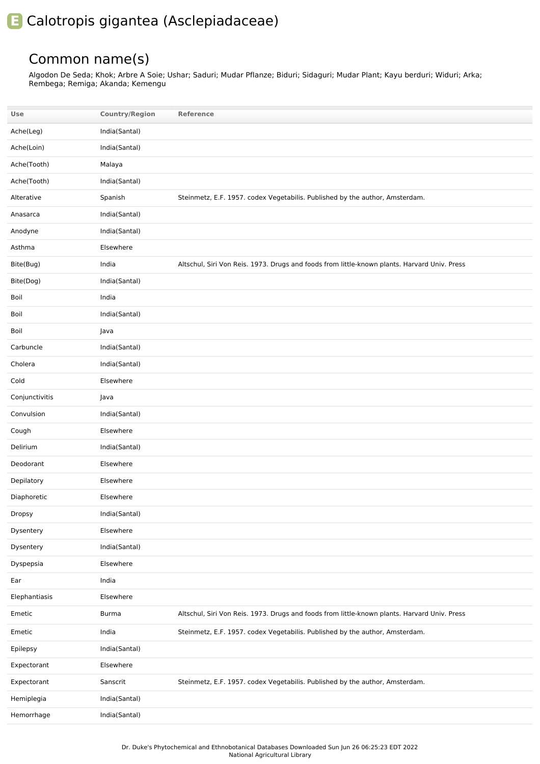## **E** Calotropis gigantea (Asclepiadaceae)

## Common name(s)

Algodon De Seda; Khok; Arbre A Soie; Ushar; Saduri; Mudar Pflanze; Biduri; Sidaguri; Mudar Plant; Kayu berduri; Widuri; Arka; Rembega; Remiga; Akanda; Kemengu

| Use            | <b>Country/Region</b> | <b>Reference</b>                                                                             |
|----------------|-----------------------|----------------------------------------------------------------------------------------------|
| Ache(Leg)      | India(Santal)         |                                                                                              |
| Ache(Loin)     | India(Santal)         |                                                                                              |
| Ache(Tooth)    | Malaya                |                                                                                              |
| Ache(Tooth)    | India(Santal)         |                                                                                              |
| Alterative     | Spanish               | Steinmetz, E.F. 1957. codex Vegetabilis. Published by the author, Amsterdam.                 |
| Anasarca       | India(Santal)         |                                                                                              |
| Anodyne        | India(Santal)         |                                                                                              |
| Asthma         | Elsewhere             |                                                                                              |
| Bite(Bug)      | India                 | Altschul, Siri Von Reis. 1973. Drugs and foods from little-known plants. Harvard Univ. Press |
| Bite(Dog)      | India(Santal)         |                                                                                              |
| Boil           | India                 |                                                                                              |
| Boil           | India(Santal)         |                                                                                              |
| Boil           | Java                  |                                                                                              |
| Carbuncle      | India(Santal)         |                                                                                              |
| Cholera        | India(Santal)         |                                                                                              |
| Cold           | Elsewhere             |                                                                                              |
| Conjunctivitis | Java                  |                                                                                              |
| Convulsion     | India(Santal)         |                                                                                              |
| Cough          | Elsewhere             |                                                                                              |
| Delirium       | India(Santal)         |                                                                                              |
| Deodorant      | Elsewhere             |                                                                                              |
| Depilatory     | Elsewhere             |                                                                                              |
| Diaphoretic    | Elsewhere             |                                                                                              |
| <b>Dropsy</b>  | India(Santal)         |                                                                                              |
| Dysentery      | Elsewhere             |                                                                                              |
| Dysentery      | India(Santal)         |                                                                                              |
| Dyspepsia      | Elsewhere             |                                                                                              |
| Ear            | India                 |                                                                                              |
| Elephantiasis  | Elsewhere             |                                                                                              |
| Emetic         | Burma                 | Altschul, Siri Von Reis. 1973. Drugs and foods from little-known plants. Harvard Univ. Press |
| Emetic         | India                 | Steinmetz, E.F. 1957. codex Vegetabilis. Published by the author, Amsterdam.                 |
| Epilepsy       | India(Santal)         |                                                                                              |
| Expectorant    | Elsewhere             |                                                                                              |
| Expectorant    | Sanscrit              | Steinmetz, E.F. 1957. codex Vegetabilis. Published by the author, Amsterdam.                 |
| Hemiplegia     | India(Santal)         |                                                                                              |
| Hemorrhage     | India(Santal)         |                                                                                              |